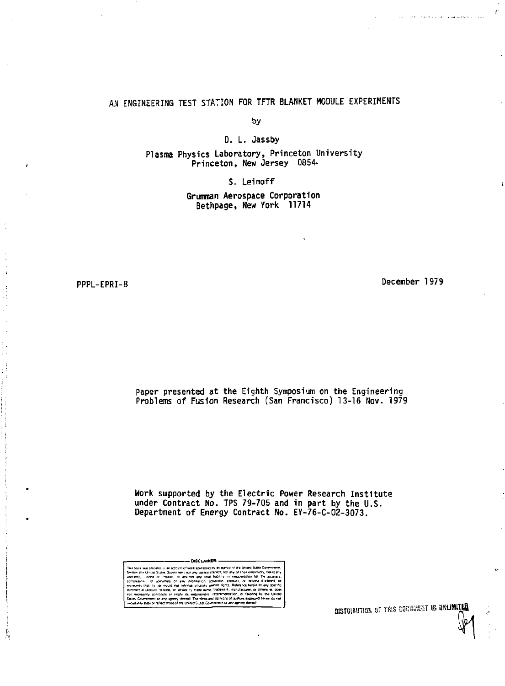# AN ENGINEERING TEST STATION FOR TFTR BLANKET MODULE EXPERIMENTS

by

D. L. Jassby

Plasma Physics Laboratory, Princeton University Princeton, New Jersey 0854.

S. Leinoff

Grumman Aerospace Corporation Bethpage, New York 11714

PPPL-EPRI-8

December 1979

ŕ

Paper presented at the Eighth Symposium on the Engineering Problems of Fusion Research (San Francisco) 13-16 Nov. 1979

Work supported by the Electric Power Research Institute under Contract No. TPS 79-705 and in part by the U.S.<br>Department of Energy Contract No. EY-76-C-02-3073.

of work sponsored by an apency of the United S col was presented as a nection of work scoreovered by an apency of the United Suite of the United Suite Government for any acting them of the employment of the second state of the United Suites (and the United Suites of th Sovernment or any agency thereof. The views and opinion or any agency thereof. The views and opinion

**DISTRIBUTION OF THIS DOCUMENT IS UNLIMITED**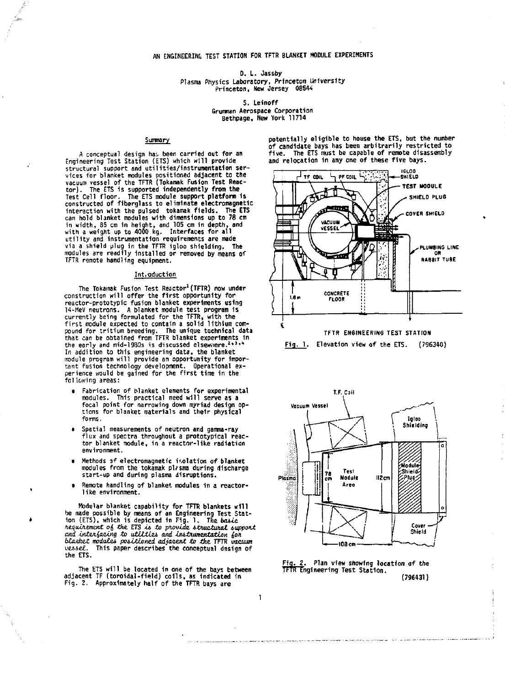**D. L. Jassby Plasma Physics Laboratory. Princeton University Princeton, New Jersey 08544** 

> **S. Leinoff Grumman Aerospace Corporation Bethpage, New York 11714**

> > **1**

### **Summary**

**A conceptual design hai been carried out for an Engineering Test Station (ETS) which will provide structural support and utilities/instrumentation services for blanket modules positioned adjacent to the vacuum vessel of the TFTR (Tokamak Fusion Test Reac**tor). The ETS is supported independently from the<br>Test Cell floor. The ETS module support platform is<br>constructed of fiberglass to eliminate electromagnetic<br>interaction with the pulsed 'tokamak fields. The ETS **can hold blanket modules with dimensions up to 78 cm**  in width, 85 cm in height, and 105 cm in depth, and<br>with a weight up to 4000 kg. Interfaces for all<br>utility and instrumentation requirements are made<br>via a shield plug in the TFTR igloo shielding. The<br>modules are readily i

#### **Introduction**

**The Tokamak Fusion Test Reactor<sup>1</sup> (TFTR) now under**  construction will offer the first opportunity for **reactor-prototypic fusion blanket experiments using 14-MeV neutrons. A blanket module test program 1s currently being formulated for the TFTR, with the firs t module expected to contain a solid lithium compound for tritium breeding. The unique technical data that can be obtained from TFTR blanket experiments 1n the early and mid-1980s is discussed elsewnere. <sup>2</sup> \* 3 "' In addition to this engineering data, the blanket iradule program will provide an opportunity for Important fusion technology development. Operational ex-perience would be gained for the firs t time in the follc/wing areas:** 

- **Fabrication of blanket elements for experimental modules. This practical need will serve as a focal point for narrowing down myriad design options for blanket materials and their physical forms.**
- **Spatial measurements of neutron and gamma-ray flux and spectra throughout a prototypical reactor blanket module, in a reactor-like radiation environment.**
- **Methods of electromagnetic isolation of blanket modules from the tokamak pUsna during discharge start-up and during plasma disruptions.**
- **Remote handling of blanket modules in a reactorlike environment.**

Modular blanket capability for TFTR blankets will<br>be made possible by means of an Engineering Test Stat-<br>ion (ETS), which is depicted in Fig. 1. The basic<br>requirement of the ETS is to provide structural support<br>and interfa *biai\ket modat&i positioned adjacent to the.* **TFTR vacuum**  *vuiel.* **This paper describes the conceptual design of the ETS.** 

**The ETS will be located in one of the bays between adjacent TF (toroidal-field) colls, as indicated in Fig. 2. Approximately half of the TFTR bays are** 

**potentially eligible to house the ETS, but the number of candidate bays has been arbitrarily restricted to five. The ETS must be capable of remote disassembly and relocation in any one of these five bays.** 



**Fig. 1. Elevation view of the ETS. (796340)** 



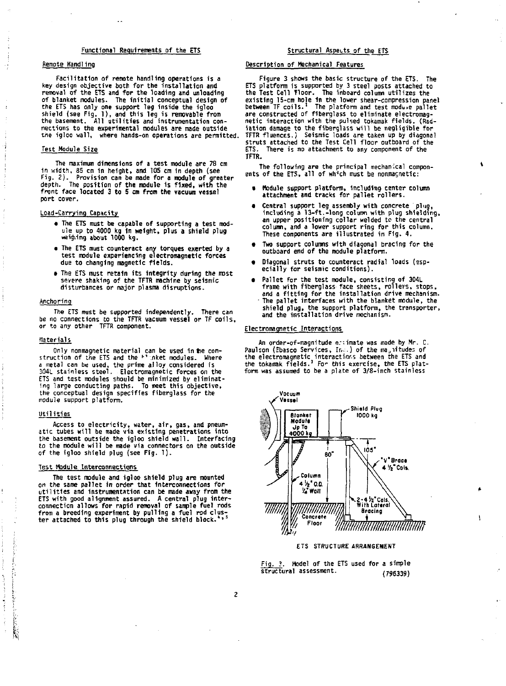# Functional Requirements of the ETS **Structural Aspects of the ETS** Structural Aspects of the ETS

# **Rempte Handling**

**Facilitation of remote handling operations is a key design objective both for the installation and removal of the ETS and for the loading and unloading**  of blanket modules. The initial conceptual design of **the ETS has only one support leg inside the igloo shield (see Fig. 1), and this leg is removable from the basement. All utilitie s and instrumentation connections to the experimental modules are made outside the igloo wall, where hands-on operations are permitted.** 

# **Test Module Size**

The maximum dimensions of a test module are 78 cm<br>in width, 85 cm in height, and 105 cm in depth (see<br>Fig. 2). Provision can be made for a module of greater<br>depth. The position of the module is fixed, with the **front face located 3 to 5 cm from the vacuum vessel port cover.** 

# **Load-Carrying Capacity**

- **The ETS must be capable of supporting a test module up to 4000 kg in weight, plus a shield plug weighing about 1000 kg.**
- **The ETS must counteract any torques exerted by a test module experiencing electromagnetic forces due to changing magnetic fields.**
- **The ETS must retain its integrity during the most severe shaking of the TFTR machine by seismic**  disturbances or major plasma disruptions.

### **Anchoring**

**The ETS must be supported independently. There can be no connections to the TFTR vacuum vessel or TF coils, or to any other TFTR component.** 

#### **Materials**

Only nonmagnetic material can be used in the con-<br>struction of the ETS and the <sup>1</sup>' nket modules. Where<br>a metal can be used, the prime alloy considered is<br>304L stainless steel. Electromagnetic forces on the **ETS and test modules should be minimized by eliminating large conducting paths. To meet this objective, the conceptual design specifies fiberglass for the module support platform.** 

### **Utilities**

Ă

المتحكمة

**Access to electricity, water, air, gas, and pneum-atic tubes will he made via existing penetrations into the basement outside the igloo shield wall. Interfacing to the module will be made via connectors on the outside of the igloo shield plug (see Fig. 1).** 

# **Test Module Interconnections**

**The test module and igloo shield plug are mounted on the same pallet in order that Interconnections for utilitie s and instrumentation can be made away from the ETS with good alignment assured. A central plug inter-connection allows for rapid removal of sample fuel rods from a breeding experiment by pulling a fuel rod clus-ter attached to this plug through the shield block.'\* <sup>5</sup>**

# **Description of Mechanical Features**

Figure 3 shows the basic structure of the ETS. The<br>ETS platform is supported by 3 steel posts attached to<br>the Test Cell Tloor. The inboard column utilizes the<br>existing 15-cm hole in the lower shear-compression panel<br>betwee **netic interaction with the pulsed tokamak fields. (Radiation damage to the fiberglass will be negligible for TFTR fluences.) Seismic loads are taken up by diagonal struts attached to the Test Cell floor outboard of the ETS. There is no attachment to any component of the TFTR.** 

**The following are the principal mechanical compon-ents of the ETS, all of wlrch must be nonmagnetic:** 

- **« Module support platform, Including center column attachment and tracks for pallet rollers.**
- **Central support leg assembly with concrete plug, including a 13-ft.-1ong column with plug shielding, an upper positioning collar welded te the central column, and a lower support ring for this column. These components are illustrated in F1g. 4.**
- **t Two support columns with diagonal bracing for the outboard end of the module platform.**
- **Diagonal struts to counteract radial loads (esp-ecially for seismic conditions).**
- e Pallet for the test module, consisting of 304L<br>frame with fiberglass face sheets, rollers, stops,<br>and a fitting for the installation drive mechanism.<br>The pallet interfaces with the blanket module, the **shield plug, the support platform, the transporter, and the installation drive mechanism.**

## **Electromagnetic Interactions**

An order-of-magnitude entimate was made by Mr. C. Paulson (Ebasco Services, Inc.) of the ma<sub>p</sub>itudes of **the electromagnetic interactinr.s between the ETS and the tokamak fields. ' Fo>- this exercise, the ETS platform was assumed to be a plate of 3/8-inch stainless** 



**ETS STRUCTURE ARRANGEMENT** 

**Fig. 3. Model of the ETS used for a simple structural assessment. (796339)**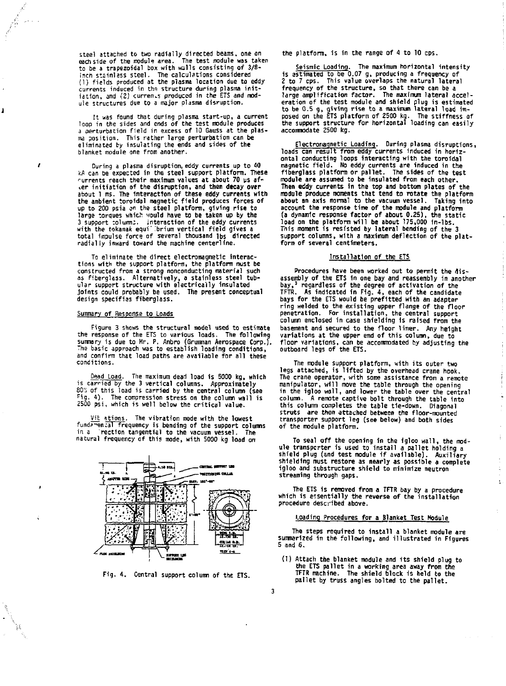**steel attached to two radially directed beams, one on each side of the module area. The test module was taken to be a trapezoidal box with walls consisting of 3/8 inch stsinlass steel. The calculations considered (1) fields produced at the plasma location due to eddy**  currents induced in the structure during plasma init-<br>iation, and (2) curren*.s* produced in the ETS and mod**ule structures due to a major plasma disruption.** 

**It was found that during plasma start-up, a current loop in the sides and ends of the test module produces a perturbation field in excess of 10 Gauss at the plasma position. This rather large perturbation can be eliminated by insulating the ends and sides of the blanket module one from another.** 

**During a plasma disruption, eddy currents up to 40 kA can be expected in the steel support platform. These currents reach their maximum values at about 70 ys afier initiation of the disruption, and then decay over about 1 ms. The interaction of these eddy currents with the ambient toroidal magnetic field produces forces of up to 200 psia on the steel platform, giving rise to large torques which would have to be taken up by the**  3 support columns. Interaction of the eddy currents<br>with the tokamak equilibrium vertical field gives a<br>total impulse force of several thousand lbs directed<br>radialiv inward toward the machine centerline.

**To eliminate the direct electromagnetic interactions with the support platform, the platform must be constructed from a strong nonconducting material such as fiberglass. Alternatively, a stainless steel tub-ular support structure with electrically insulated joints could probably be used. The present conceptual design specifies fiberglass.** 

#### **Summary of Response to Loads**

J

ı

W

**Figure 3 shows the structural model used to estimate the response of the ETS to various loads. The following summary is due to Hr. P. Anbro (Grumman Aerospace Corp.). The basic approach was to establish loading conditions, and confirm that load paths are available for all these conditions.** 

**Dead Load. The maximum dead load is 5000 kg, which is carried by the 3 vertical columns. Approximately 805 of this load is carried by the central column (see fig. 4). The compression stress on the column wall is 2500 psi, which is well below the critical value.** 

**Vit stions. The vibration mode with the lowest**  fund?<sup>-me</sup>n:al frequency is bending of the support columns in a rection tangential to the vacuum vessel. The in a rection tangential to the vacuum vessel. **natural frequency cf this mode, with 5000 kg load an** 



**Fig. 4. Central support column of the ETS.** 

**3** 

**the platform, is in the range of 4 to 10 cps.** 

**Seismic Loading. The maximum horizontal Intensity is estimated to be 0.07 g, producing a frequency of 2 to 7 cps. This value overlaps the natural lateral frequency of the structure, so that there can be a large amplification factor. The maximum lateral accel**eration of the test module and shield plug is estimated<br>to be 0.5 g, giving rise to a maximum lateral load im-<br>posed on the ETS platform of 2500 kg. The stiffness of<br>the support structure for horizontal loading can easily **accommodate 2500 kg.** 

**Electromagnetic Loading. During plasma disruptions, loads can result from eddy currents induced in horizontal conducting loops interacting with the toroidal magnetic field. No eddy currents are induced in the fiberglass platform or pallet. The sides of the test module are assumed to be insulated from each other. Then eddy currents in the top and bottom plates of the module produce moments that tend to rotate the platform about an axis normal to the vacuum vessel. Taking into account the response time of the module and platform**  (a dynamic response factor of about 0.25), the static<br>load on the platform will be about 175,000 in-1bs.<br>This moment is resisted by lateral bending of the 3<br>support columns, with a maximum deflection of the plat**form of several centimeters.** 

# **Installation of the ETS**

**Procedures have been worked out to permit the dis**assembly of the ETS in one bay and reassembly in another<br>bay,ª regardless of the degree of activation of the<br>TFTR. As indicated in Fig. 4, each of the candidate<br>bays for the ETS would be prefitted with an adapter **ring welded to the existing upper flange of the floor penetration. For installation, the central support column enclosed in case shielding 1s raised from the basement and secured to the floor liner. Any height variations at the upper end of this column, due to floor variations, can be accommodated by adjusting the outboard legs of the ETS.** 

**The module support platform, with its outer two legs attached, is lifted by the overhead crane hook. The crane operator, with some assistance from a remote**  manipulator, will move the table through the opening<br>in the igloo wall, and lower the table over the central<br>column. A remote captive bolt through the table into<br>this column completes the table tie-down. Diagonal **struts are then attached between the floor-mounted transporter support leg (see below) and both sides of the module platform.** 

**To seal off the opening in the igloo wall, the mod-ule transpcrter is used to install a pallet holding a**  shield plug (and test module if available). Auxiliary **shielding must restore as nearly as possible a complete igloo and substructure shield to minimize neutron streaming through gaps.** 

Ť

 $\bar{z}$ 

 $\bar{\Sigma}$ 

**The ETS is removed from a TFTR bay by a procedure which is essentially the reverse of the installation procedure described above.** 

# **Loading Procedures for a Blanket Test Module**

**The steps required to install a blanket module are summarized in the following, and illustrated in Figures 5 and 6.** 

**( I) Attach the blanket module and its shield plug to the ETS pallet in a working area away from the TFTR machine. The shield block 1s held to the pallet by truss angles bolted to the pallet.**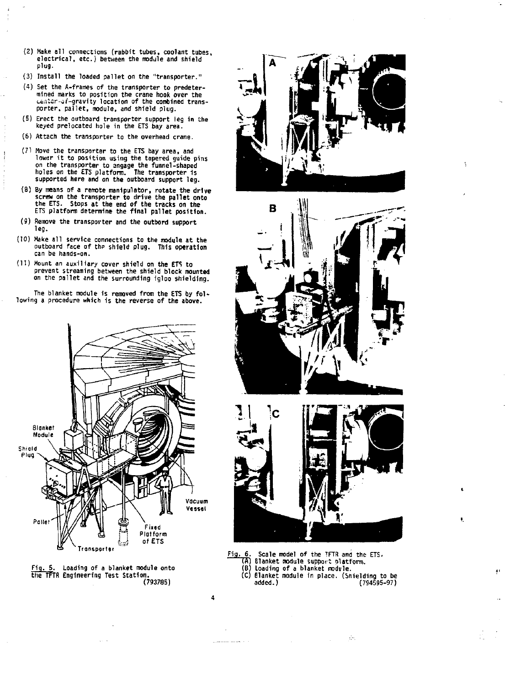- **(2) Make all connections (rabbit tubes, coolant tubes, electrical, etc.) between the module and shield plug.**
- **(3) Install the loaded pallet on the "transporter."**
- **(4) Set the A-frames of the transporter to predetermined marks to position the crane hook over the <.=ntcr-of-gravity location of the combined transporter, pallet, module, and shield plug.**
- **(5) Erect the outboard transporter support leg in the keyed prelocated hole in the ETS bay area.**
- **(6) Attach the transporter to the overhead crane.**
- **(71 Hove the transporter to the ETS bay area, and**  lower it to position using the tapered guide pins **on the transporter to angage the funnel-shaped holes on the ETS platform. The transporter 1s supported here and on the outboard support leg.**
- (8) By means of a remote manipulator, rotate the drive<br>screw on the transporter to drive the pallet onto<br>the ETS. Stops at the end of the tracks on the<br>ETS platform determine the final pallet position.
- **(9) Remove the transporter and the outbord support leg.**
- **(10) Make all service connections to the module at the outboard face of th? shield plug. This operation can be hands-on.**
- **(11) Mount an auxiliary cover shield on the ETS to prevent streaming between the shield block mounted on the pallet and the surrounding Igloo shielding.**

**The blanket module is removed from the ETS by following a procedure which is the reverse of the above.** 











**Fig. 6. Scale model of the TFTR and the ETS. (A) Blanket module support platform. (B) Loading of a blanket module. (C) Blanket module in place. (Shielding to be added.) (794595-97)** 

ğ.

4

**Contractor of the State State**